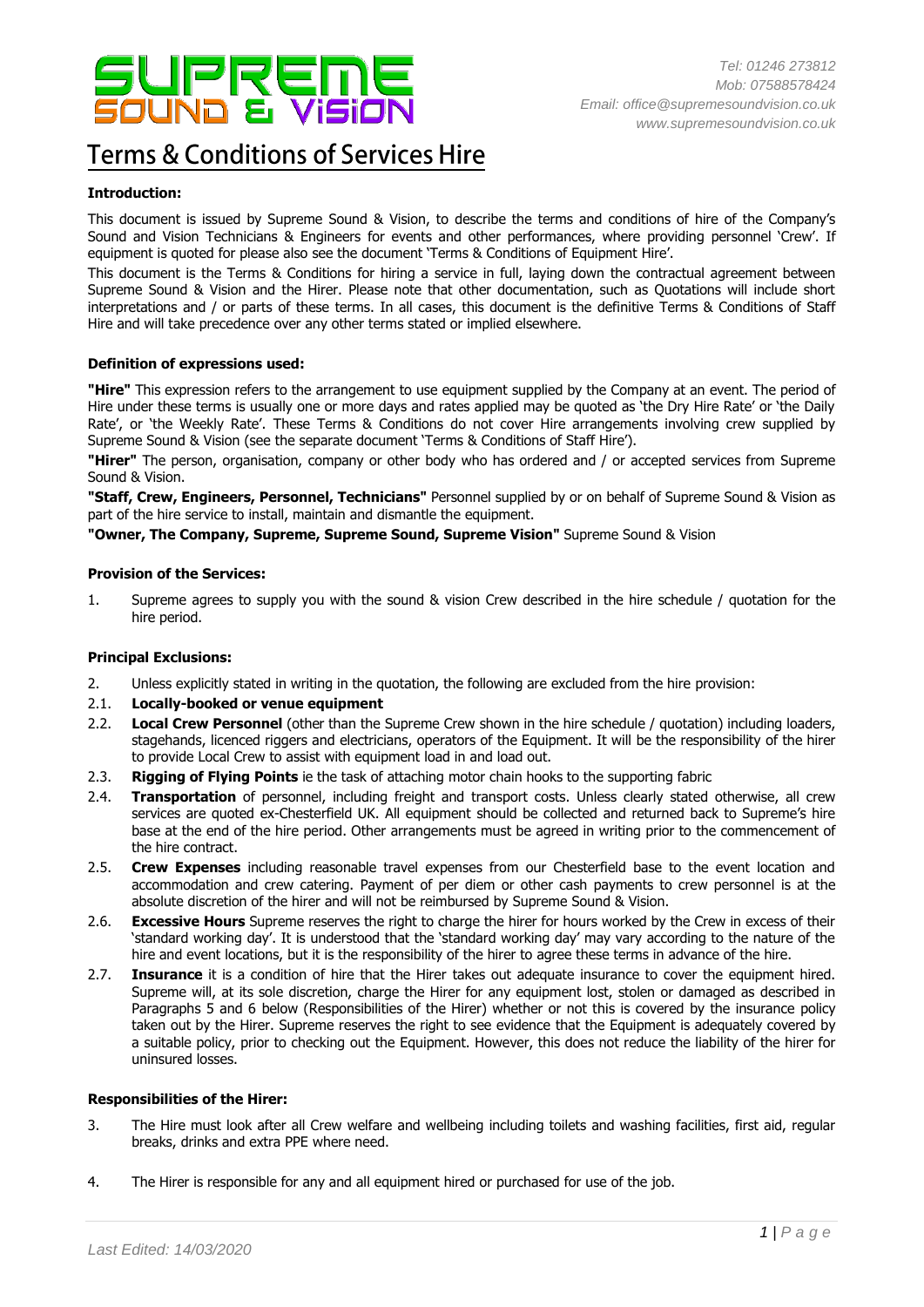

# **Terms & Conditions of Services Hire**

## **Introduction:**

This document is issued by Supreme Sound & Vision, to describe the terms and conditions of hire of the Company's Sound and Vision Technicians & Engineers for events and other performances, where providing personnel 'Crew'. If equipment is quoted for please also see the document 'Terms & Conditions of Equipment Hire'.

This document is the Terms & Conditions for hiring a service in full, laying down the contractual agreement between Supreme Sound & Vision and the Hirer. Please note that other documentation, such as Quotations will include short interpretations and / or parts of these terms. In all cases, this document is the definitive Terms & Conditions of Staff Hire and will take precedence over any other terms stated or implied elsewhere.

### **Definition of expressions used:**

**"Hire"** This expression refers to the arrangement to use equipment supplied by the Company at an event. The period of Hire under these terms is usually one or more days and rates applied may be quoted as 'the Dry Hire Rate' or 'the Daily Rate', or 'the Weekly Rate'. These Terms & Conditions do not cover Hire arrangements involving crew supplied by Supreme Sound & Vision (see the separate document 'Terms & Conditions of Staff Hire').

**"Hirer"** The person, organisation, company or other body who has ordered and / or accepted services from Supreme Sound & Vision.

**"Staff, Crew, Engineers, Personnel, Technicians"** Personnel supplied by or on behalf of Supreme Sound & Vision as part of the hire service to install, maintain and dismantle the equipment.

**"Owner, The Company, Supreme, Supreme Sound, Supreme Vision"** Supreme Sound & Vision

### **Provision of the Services:**

1. Supreme agrees to supply you with the sound & vision Crew described in the hire schedule / quotation for the hire period.

#### **Principal Exclusions:**

- 2. Unless explicitly stated in writing in the quotation, the following are excluded from the hire provision:
- 2.1. **Locally-booked or venue equipment**
- 2.2. **Local Crew Personnel** (other than the Supreme Crew shown in the hire schedule / quotation) including loaders, stagehands, licenced riggers and electricians, operators of the Equipment. It will be the responsibility of the hirer to provide Local Crew to assist with equipment load in and load out.
- 2.3. **Rigging of Flying Points** ie the task of attaching motor chain hooks to the supporting fabric
- 2.4. **Transportation** of personnel, including freight and transport costs. Unless clearly stated otherwise, all crew services are quoted ex-Chesterfield UK. All equipment should be collected and returned back to Supreme's hire base at the end of the hire period. Other arrangements must be agreed in writing prior to the commencement of the hire contract.
- 2.5. **Crew Expenses** including reasonable travel expenses from our Chesterfield base to the event location and accommodation and crew catering. Payment of per diem or other cash payments to crew personnel is at the absolute discretion of the hirer and will not be reimbursed by Supreme Sound & Vision.
- 2.6. **Excessive Hours** Supreme reserves the right to charge the hirer for hours worked by the Crew in excess of their 'standard working day'. It is understood that the 'standard working day' may vary according to the nature of the hire and event locations, but it is the responsibility of the hirer to agree these terms in advance of the hire.
- 2.7. **Insurance** it is a condition of hire that the Hirer takes out adequate insurance to cover the equipment hired. Supreme will, at its sole discretion, charge the Hirer for any equipment lost, stolen or damaged as described in Paragraphs 5 and 6 below (Responsibilities of the Hirer) whether or not this is covered by the insurance policy taken out by the Hirer. Supreme reserves the right to see evidence that the Equipment is adequately covered by a suitable policy, prior to checking out the Equipment. However, this does not reduce the liability of the hirer for uninsured losses.

#### **Responsibilities of the Hirer:**

- 3. The Hire must look after all Crew welfare and wellbeing including toilets and washing facilities, first aid, regular breaks, drinks and extra PPE where need.
- 4. The Hirer is responsible for any and all equipment hired or purchased for use of the job.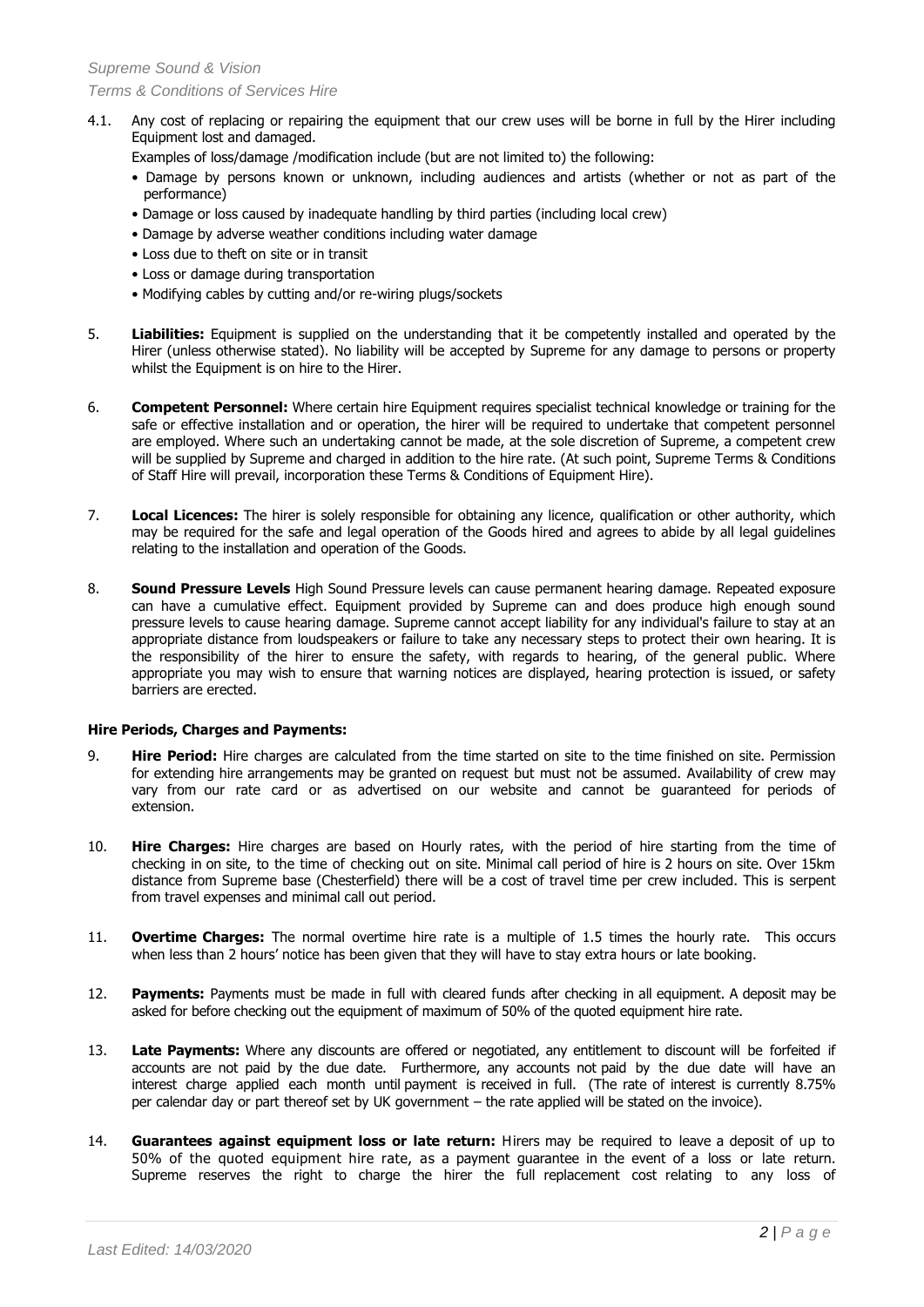- 4.1. Any cost of replacing or repairing the equipment that our crew uses will be borne in full by the Hirer including Equipment lost and damaged.
	- Examples of loss/damage /modification include (but are not limited to) the following:
	- Damage by persons known or unknown, including audiences and artists (whether or not as part of the performance)
	- Damage or loss caused by inadequate handling by third parties (including local crew)
	- Damage by adverse weather conditions including water damage
	- Loss due to theft on site or in transit
	- Loss or damage during transportation
	- Modifying cables by cutting and/or re-wiring plugs/sockets
- 5. **Liabilities:** Equipment is supplied on the understanding that it be competently installed and operated by the Hirer (unless otherwise stated). No liability will be accepted by Supreme for any damage to persons or property whilst the Equipment is on hire to the Hirer.
- 6. **Competent Personnel:** Where certain hire Equipment requires specialist technical knowledge or training for the safe or effective installation and or operation, the hirer will be required to undertake that competent personnel are employed. Where such an undertaking cannot be made, at the sole discretion of Supreme, a competent crew will be supplied by Supreme and charged in addition to the hire rate. (At such point, Supreme Terms & Conditions of Staff Hire will prevail, incorporation these Terms & Conditions of Equipment Hire).
- 7. **Local Licences:** The hirer is solely responsible for obtaining any licence, qualification or other authority, which may be required for the safe and legal operation of the Goods hired and agrees to abide by all legal guidelines relating to the installation and operation of the Goods.
- 8. **Sound Pressure Levels** High Sound Pressure levels can cause permanent hearing damage. Repeated exposure can have a cumulative effect. Equipment provided by Supreme can and does produce high enough sound pressure levels to cause hearing damage. Supreme cannot accept liability for any individual's failure to stay at an appropriate distance from loudspeakers or failure to take any necessary steps to protect their own hearing. It is the responsibility of the hirer to ensure the safety, with regards to hearing, of the general public. Where appropriate you may wish to ensure that warning notices are displayed, hearing protection is issued, or safety barriers are erected.

### **Hire Periods, Charges and Payments:**

- 9. **Hire Period:** Hire charges are calculated from the time started on site to the time finished on site. Permission for extending hire arrangements may be granted on request but must not be assumed. Availability of crew may vary from our rate card or as advertised on our website and cannot be guaranteed for periods of extension.
- 10. **Hire Charges:** Hire charges are based on Hourly rates, with the period of hire starting from the time of checking in on site, to the time of checking out on site. Minimal call period of hire is 2 hours on site. Over 15km distance from Supreme base (Chesterfield) there will be a cost of travel time per crew included. This is serpent from travel expenses and minimal call out period.
- 11. **Overtime Charges:** The normal overtime hire rate is a multiple of 1.5 times the hourly rate. This occurs when less than 2 hours' notice has been given that they will have to stay extra hours or late booking.
- 12. **Payments:** Payments must be made in full with cleared funds after checking in all equipment. A deposit may be asked for before checking out the equipment of maximum of 50% of the quoted equipment hire rate.
- 13. **Late Payments:** Where any discounts are offered or negotiated, any entitlement to discount will be forfeited if accounts are not paid by the due date. Furthermore, any accounts not paid by the due date will have an interest charge applied each month until payment is received in full. (The rate of interest is currently 8.75% per calendar day or part thereof set by UK government – the rate applied will be stated on the invoice).
- 14. **Guarantees against equipment loss or late return:** Hirers may be required to leave a deposit of up to 50% of the quoted equipment hire rate, as a payment guarantee in the event of a loss or late return. Supreme reserves the right to charge the hirer the full replacement cost relating to any loss of